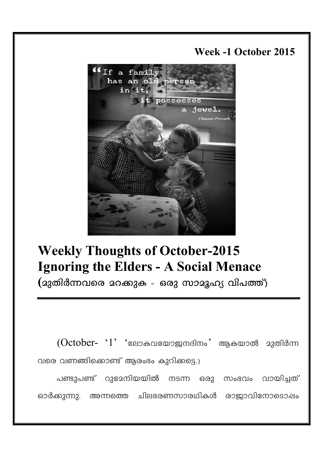## **Week -1 October 2015**



# **Weekly Thoughts of October-2015 Ignoring the Elders - A Social Menace**

 $($ ദുതിർന്നവരെ ദറക്കുക - ഒരു സാദൂഹ്യ വിപത്ത്)

 ${({\rm October}\text{--}\text{~~`1'}~\;\;$ ്ലോകവയോജനദിനം $\text{--}\;$  ആകയാൽ മുതിർന്ന വരെ വണങ്ങിക്കൊണ്ട് ആരംഭം കുറിക്കട്ടെ.)

പണ്ടുപണ്ട് റുദേനിയയിൽ നടന്ന ഒരു സംഭവം വായിച്ചത് ഓർക്കുന്നു. അന്നത്തെ ചിലഭരണസാരഥികൾ രാജാവിനോടൊഷം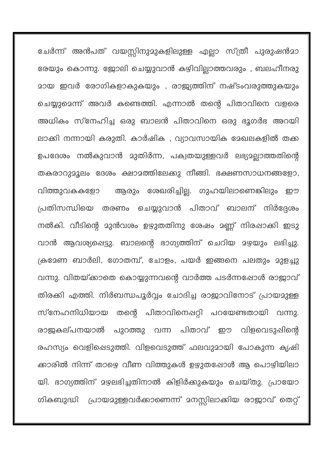ചേർന്ന് അൻപത് വയസ്സിനുമുകളിലുള്ള എല്ലാ സ്ത്രീ പുരുഷൻമ<mark>ാ</mark> രേയും കൊന്നു. ജോലി ചെയ്യുവാൻ കഴിവില്ലാത്തവരും , ബലഹീനരു മായ ഇവർ രോഗികളാകുകയും , രാജ്യത്തിന് നഷ്ടംവരുത്തുകയും ചെയ്യുമെന്ന് അവർ കണ്ടെത്തി. എന്നാൽ തന്റെ പിതാവിനെ വളരെ അധികം സ്നേഹിച്ച ഒരു ബാലൻ പിതാവിനെ ഒരു ഭൂഗർഭ അറയി ലാക്കി നന്നായി കരുതി. കാർഷിക , വ്യാവസായിക മേഖലകളിൽ തക്ക ഉപദേശം നൽകുവാൻ മുതിർന്ന, പക്വതയുള്ളവർ ലഭ്യമല്ലാത്തതിന്റെ തകരാറുമൂലം ദേശം ക്ഷാമത്തിലേക്കു നീങ്ങി. ഭക്ഷണസാധനങ്ങളോ, ആരും ശേഖരിച്ചില്ല. ഗുഹയിലാണെങ്കിലും വിത്തുവകകളോ ഈ പ്രതിസന്ധിയെ തരണം ചെയ്യുവാൻ പിതാവ് ബാലന് നിർദ്ദേശം നൽകി. വീടിന്റെ മുൻവശം ഉഴുതതിനു ശേഷം മണ്ണ് നിരപ്പാക്കി ഇടു വാൻ ആവശ്യപ്പെട്ടു. ബാലന്റെ ഭാഗ്യത്തിന് ചെറിയ മഴയും ലഭിച്ചു. ക്രദേണ ബാർലി, ഗോതമ്പ്, ചോളം, പയർ ഇങ്ങനെ പലതും മുളച്ചു വന്നു. വിതയ്ക്കാതെ കൊയ്യുന്നവന്റെ വാർത്ത പടർന്നഷോൾ രാജാവ് തിരക്കി എത്തി. നിർബന്ധപൂർവ്വം ചോദിച്ച രാജാവിനോട് പ്രായമുള്ള സ്നേഹനിധിയായ തന്റെ പിതാവിനെഷറ്റി പറയേണ്ടതായി വന്നു. വിളവെടുപ്പിന്റെ രാജകല്പനയാൽ പുറത്തു വന്ന പിതാവ് ഈ രഹസ്യം വെളിപ്പെടുത്തി. വിളവെടുത്ത് ഫലവുമായി പോകുന്ന കൃഷി ക്കാരിൽ നിന്ന് താഴെ വീണ വിത്തുകൾ ഉഴുതപ്പോൾ ആ പൊഴിയിലാ യി. ഭാഗ്യത്തിന് മഴലഭിച്ചതിനാൽ കിളിർക്കുകയും ചെയ്തു. പ്രായോ ഗികബുദ്ധി പ്രായമുള്ളവർക്കാണെന്ന് മനസ്സിലാക്കിയ രാജാവ് തെറ്റ്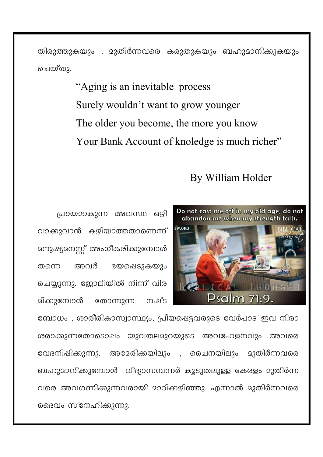തിരുത്തുകയും , മുതിർന്നവരെ കരുതുകയും ബഹുമാനിക്കുകയും ചെയ്തു.

> "Aging is an inevitable process" Surely wouldn't want to grow younger The older you become, the more you know Your Bank Account of knoledge is much richer"

## By William Holder



പ്രായമാകുന്ന അവസ്ഥ ഒഴി വാക്കുവാൻ കഴിയാത്തതാണെന്ന് <u> മനുഷ്യമനസ്സ് അംഗീകരിക്കുമ്പോൾ</u> അവർ ഭയപ്പെടുകയും തന്നെ ചെയ്യുന്നു. ജോലിയിൽ നിന്ന് വിര മിക്കുമ്പോൾ നംഴ്ട തോന്നുന്ന

ബോധം , ശാരീരികാസ്വാസ്ഥ്യം, പ്രീയപ്പെട്ടവരുടെ വേർപാട് ഇവ നിരാ ശരാക്കുന്നതോടൊഷം യുവതലമുറയുടെ അവഹേളനവും അവരെ വേദനിഷിക്കുന്നു. അമേരിക്കയിലും . ചൈനയിലും മുതിർന്നവരെ ബഹുമാനിക്കുമ്പോൾ വിദ്യാസമ്പന്നർ കൂടുതലുള്ള കേരളം മുതിർന്ന വരെ അവഗണിക്കുന്നവരായി മാറിക്കഴിഞ്ഞു. എന്നാൽ മുതിർന്നവരെ ദൈവം സ്നേഹിക്കുന്നു.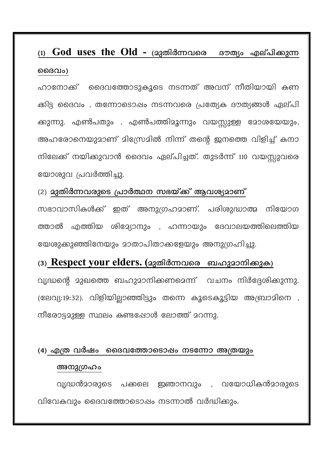# (1)  $\bf{God}$  uses the  $\bf{Old}$  - (മുതിർന്നവരെ ഭൗത്യം എല്പിക്കുന്ന മൈവം)

ഹാനോക്ക് ദൈവത്തോടുകൂടെ നടന്നത് അവന് നീതിയായി കണ ക്കിട്ട ദൈവം , തന്നോടൊഷം നടന്നവരെ പ്രത്യേക ദൗത്യങ്ങൾ ഏല്പി ക്കുന്നു. എൺപതും , എൺപത്തിമൂന്നും വയസ്സുള്ള മോശയേയും, അഹരോനെയുമാണ് മിസ്രേമിൽ നിന്ന് തന്റെ ജനത്തെ വിളിച്ച് കനാ നിലേക്ക് നയിക്കുവാൻ ദൈവം ഏല്പിച്ചത്. തുടർന്ന് 110 വയസ്സുവരെ യോശുവ പ്രവർത്തിച്ചു.

## (2) മുതിർന്നവരുടെ പ്രാർത്ഥന സഭയ്ക്ക് ആവശ്യമാണ്

സഭാവാസികൾക്ക് ഇത് അനുഗ്രഹമാണ്. പരിശുദ്ധാത്മ നിയോഗ ത്താൽ എത്തിയ ശിദ്ദേ്യാനും , ഹന്നായും ദേവാലയത്തിലെത്തിയ യേശുക്കുഞ്ഞിനേയും മാതാപിതാക്കളേയും അനുഗ്രഹിച്ചു.

## (3) Respect your elders. (മുതിർന്നവരെ ബഹുമാനിക്കുക)

വൃദ്ധന്റെ മുഖത്തെ ബഹുമാനിക്കണമെന്ന് വചനം നിർദ്ദേശിക്കുന്നു. (ലേവ്യ:19:32). വിളിയില്ലാഞ്ഞിട്ടും തന്നെ കൂടെകൂട്ടിയ അബ്രാമിനെ , നീരോട്ടമുള്ള സ്ഥലം കണ്ടപ്പോൾ ലോത്ത് മറന്നു.

#### (4) എത്ര വർഷം ദൈവത്തോടൊഷം നടന്നോ അത്രയും

#### അനുഗ്രഹം

വൃദ്ധൻമാരുടെ പക്കലെ ഇഞാനവും , വയോധികൻമാരുടെ വിവേകവും ദൈവത്തോടൊപ്പം നടന്നാൽ വർദ്ധിക്കും.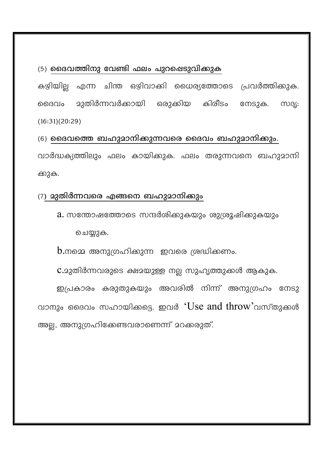#### $(5)$  മൈവത്തിനു വേണ്ടി ഫലം പുറഷെടുവിക്കുക

കഴിയില്ല എന്ന ചിന്ത ഒഴിവാക്കി ധൈര്യത്തോടെ പ്രവർത്തിക്കുക. ദൈവം മുതിർന്നവർക്കായി ഒരുക്കിയ കിരീടം നേടുക. സദ്യ:  $(16:31)(20:29)$ 

## (6) ദൈവത്തെ ബഹുമാനിക്കുന്നവരെ ദൈവം ബഹുമാനിക്കും.

വാർദ്ധക്യത്തിലും ഫലം കായിക്കുക. ഫലം തരുന്നവനെ ബഹുമാനി ക്കുക.

### (7) മുതിർന്നവരെ എങ്ങനെ ബഹുമാനിക്കും

a. സന്തോഷത്തോടെ സന്ദർശിക്കുകയും ശുശ്രൂഷിക്കുകയും

ചെയ്യുക.

 $\mathbf b$ .നമ്മെ അനുഗ്രഹിക്കുന്ന ഇവരെ ശ്രദ്ധിക്കണം.

 $C.23$ തിർന്നവരുടെ ക്ഷമയുള്ള നല്ല സുഹൃത്തുക്കൾ ആകുക.

ഇപ്രകാരം കരുതുകയും അവരിൽ നിന്ന് അനുഗ്രഹം നേടു വാനും ദൈവം സഹായിക്കട്ടെ. ഇവർ 'Use and throw'വസ്തുക്കൾ അല്ല, അനുഗ്രഹിക്കേണ്ടവരാണെന്ന് മറക്കരുത്.